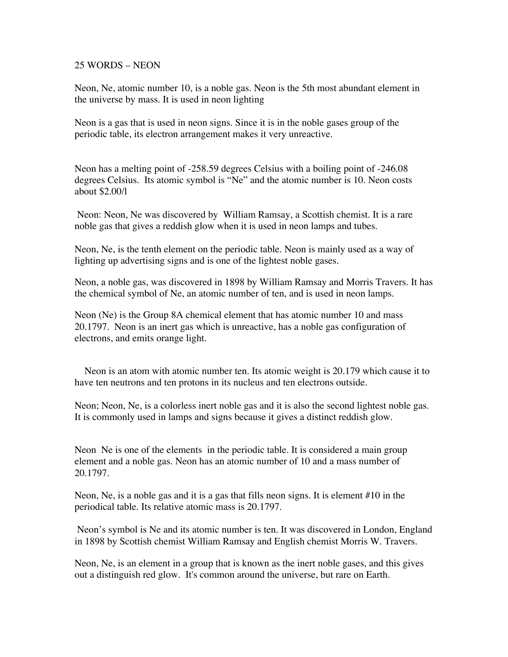## 25 WORDS – NEON

Neon, Ne, atomic number 10, is a noble gas. Neon is the 5th most abundant element in the universe by mass. It is used in neon lighting

Neon is a gas that is used in neon signs. Since it is in the noble gases group of the periodic table, its electron arrangement makes it very unreactive.

Neon has a melting point of -258.59 degrees Celsius with a boiling point of -246.08 degrees Celsius. Its atomic symbol is "Ne" and the atomic number is 10. Neon costs about \$2.00/l

 Neon: Neon, Ne was discovered by William Ramsay, a Scottish chemist. It is a rare noble gas that gives a reddish glow when it is used in neon lamps and tubes.

Neon, Ne, is the tenth element on the periodic table. Neon is mainly used as a way of lighting up advertising signs and is one of the lightest noble gases.

Neon, a noble gas, was discovered in 1898 by William Ramsay and Morris Travers. It has the chemical symbol of Ne, an atomic number of ten, and is used in neon lamps.

Neon (Ne) is the Group 8A chemical element that has atomic number 10 and mass 20.1797. Neon is an inert gas which is unreactive, has a noble gas configuration of electrons, and emits orange light.

 Neon is an atom with atomic number ten. Its atomic weight is 20.179 which cause it to have ten neutrons and ten protons in its nucleus and ten electrons outside.

Neon; Neon, Ne, is a colorless inert noble gas and it is also the second lightest noble gas. It is commonly used in lamps and signs because it gives a distinct reddish glow.

Neon Ne is one of the elements in the periodic table. It is considered a main group element and a noble gas. Neon has an atomic number of 10 and a mass number of 20.1797.

Neon, Ne, is a noble gas and it is a gas that fills neon signs. It is element #10 in the periodical table. Its relative atomic mass is 20.1797.

 Neon's symbol is Ne and its atomic number is ten. It was discovered in London, England in 1898 by Scottish chemist William Ramsay and English chemist Morris W. Travers.

Neon, Ne, is an element in a group that is known as the inert noble gases, and this gives out a distinguish red glow. It's common around the universe, but rare on Earth.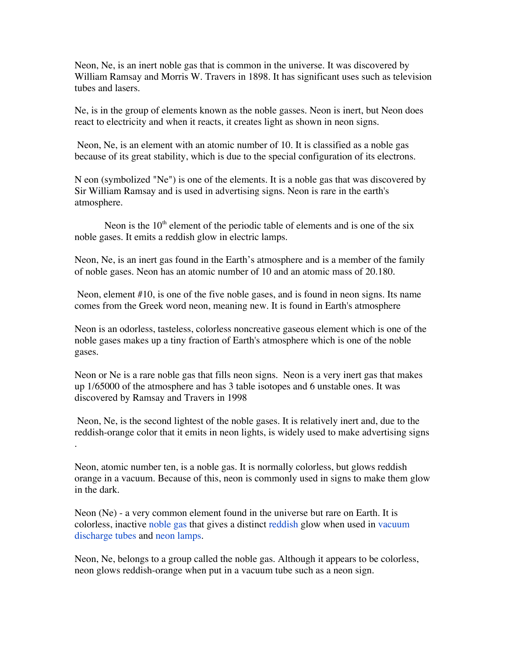Neon, Ne, is an inert noble gas that is common in the universe. It was discovered by William Ramsay and Morris W. Travers in 1898. It has significant uses such as television tubes and lasers.

Ne, is in the group of elements known as the noble gasses. Neon is inert, but Neon does react to electricity and when it reacts, it creates light as shown in neon signs.

 Neon, Ne, is an element with an atomic number of 10. It is classified as a noble gas because of its great stability, which is due to the special configuration of its electrons.

N eon (symbolized "Ne") is one of the elements. It is a noble gas that was discovered by Sir William Ramsay and is used in advertising signs. Neon is rare in the earth's atmosphere.

Neon is the  $10<sup>th</sup>$  element of the periodic table of elements and is one of the six noble gases. It emits a reddish glow in electric lamps.

Neon, Ne, is an inert gas found in the Earth's atmosphere and is a member of the family of noble gases. Neon has an atomic number of 10 and an atomic mass of 20.180.

 Neon, element #10, is one of the five noble gases, and is found in neon signs. Its name comes from the Greek word neon, meaning new. It is found in Earth's atmosphere

Neon is an odorless, tasteless, colorless noncreative gaseous element which is one of the noble gases makes up a tiny fraction of Earth's atmosphere which is one of the noble gases.

Neon or Ne is a rare noble gas that fills neon signs. Neon is a very inert gas that makes up 1/65000 of the atmosphere and has 3 table isotopes and 6 unstable ones. It was discovered by Ramsay and Travers in 1998

 Neon, Ne, is the second lightest of the noble gases. It is relatively inert and, due to the reddish-orange color that it emits in neon lights, is widely used to make advertising signs .

Neon, atomic number ten, is a noble gas. It is normally colorless, but glows reddish orange in a vacuum. Because of this, neon is commonly used in signs to make them glow in the dark.

Neon (Ne) - a very common element found in the universe but rare on Earth. It is colorless, inactive noble gas that gives a distinct reddish glow when used in vacuum discharge tubes and neon lamps.

Neon, Ne, belongs to a group called the noble gas. Although it appears to be colorless, neon glows reddish-orange when put in a vacuum tube such as a neon sign.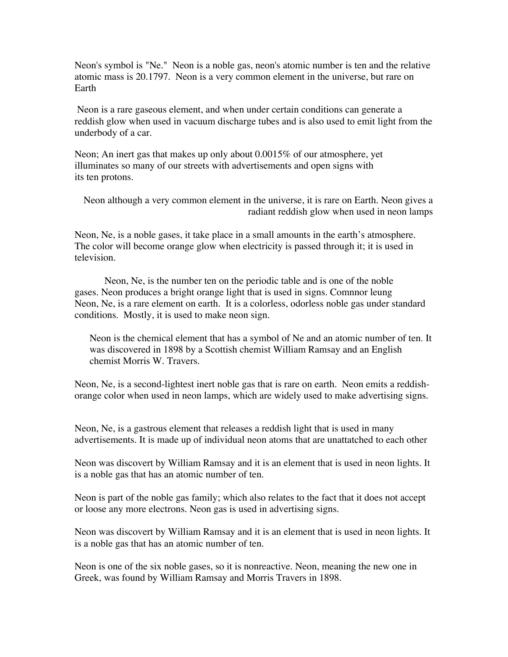Neon's symbol is "Ne." Neon is a noble gas, neon's atomic number is ten and the relative atomic mass is 20.1797. Neon is a very common element in the universe, but rare on Earth

 Neon is a rare gaseous element, and when under certain conditions can generate a reddish glow when used in vacuum discharge tubes and is also used to emit light from the underbody of a car.

Neon; An inert gas that makes up only about 0.0015% of our atmosphere, yet illuminates so many of our streets with advertisements and open signs with its ten protons.

Neon although a very common element in the universe, it is rare on Earth. Neon gives a radiant reddish glow when used in neon lamps

Neon, Ne, is a noble gases, it take place in a small amounts in the earth's atmosphere. The color will become orange glow when electricity is passed through it; it is used in television.

 Neon, Ne, is the number ten on the periodic table and is one of the noble gases. Neon produces a bright orange light that is used in signs. Comnnor leung Neon, Ne, is a rare element on earth. It is a colorless, odorless noble gas under standard conditions. Mostly, it is used to make neon sign.

Neon is the chemical element that has a symbol of Ne and an atomic number of ten. It was discovered in 1898 by a Scottish chemist William Ramsay and an English chemist Morris W. Travers.

Neon, Ne, is a second-lightest inert noble gas that is rare on earth. Neon emits a reddishorange color when used in neon lamps, which are widely used to make advertising signs.

Neon, Ne, is a gastrous element that releases a reddish light that is used in many advertisements. It is made up of individual neon atoms that are unattatched to each other

Neon was discovert by William Ramsay and it is an element that is used in neon lights. It is a noble gas that has an atomic number of ten.

Neon is part of the noble gas family; which also relates to the fact that it does not accept or loose any more electrons. Neon gas is used in advertising signs.

Neon was discovert by William Ramsay and it is an element that is used in neon lights. It is a noble gas that has an atomic number of ten.

Neon is one of the six noble gases, so it is nonreactive. Neon, meaning the new one in Greek, was found by William Ramsay and Morris Travers in 1898.